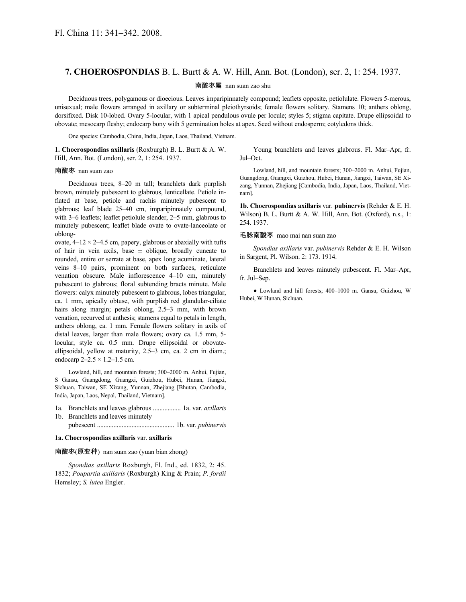# **7. CHOEROSPONDIAS** B. L. Burtt & A. W. Hill, Ann. Bot. (London), ser. 2, 1: 254. 1937.

#### 南酸枣属 nan suan zao shu

Deciduous trees, polygamous or dioecious. Leaves imparipinnately compound; leaflets opposite, petiolulate. Flowers 5-merous, unisexual; male flowers arranged in axillary or subterminal pleiothyrsoids; female flowers solitary. Stamens 10; anthers oblong, dorsifixed. Disk 10-lobed. Ovary 5-locular, with 1 apical pendulous ovule per locule; styles 5; stigma capitate. Drupe ellipsoidal to obovate; mesocarp fleshy; endocarp bony with 5 germination holes at apex. Seed without endosperm; cotyledons thick.

One species: Cambodia, China, India, Japan, Laos, Thailand, Vietnam.

**1. Choerospondias axillaris** (Roxburgh) B. L. Burtt & A. W. Hill, Ann. Bot. (London), ser. 2, 1: 254. 1937.

Young branchlets and leaves glabrous. Fl. Mar–Apr, fr. Jul–Oct.

## 南酸枣 nan suan zao

Deciduous trees, 8–20 m tall; branchlets dark purplish brown, minutely pubescent to glabrous, lenticellate. Petiole inflated at base, petiole and rachis minutely pubescent to glabrous; leaf blade 25–40 cm, imparipinnately compound, with 3–6 leaflets; leaflet petiolule slender, 2–5 mm, glabrous to minutely pubescent; leaflet blade ovate to ovate-lanceolate or oblong-

ovate,  $4-12 \times 2-4.5$  cm, papery, glabrous or abaxially with tufts of hair in vein axils, base  $\pm$  oblique, broadly cuneate to rounded, entire or serrate at base, apex long acuminate, lateral veins 8–10 pairs, prominent on both surfaces, reticulate venation obscure. Male inflorescence 4–10 cm, minutely pubescent to glabrous; floral subtending bracts minute. Male flowers: calyx minutely pubescent to glabrous, lobes triangular, ca. 1 mm, apically obtuse, with purplish red glandular-ciliate hairs along margin; petals oblong, 2.5–3 mm, with brown venation, recurved at anthesis; stamens equal to petals in length, anthers oblong, ca. 1 mm. Female flowers solitary in axils of distal leaves, larger than male flowers; ovary ca. 1.5 mm, 5 locular, style ca. 0.5 mm. Drupe ellipsoidal or obovateellipsoidal, yellow at maturity, 2.5–3 cm, ca. 2 cm in diam.; endocarp  $2 - 2.5 \times 1.2 - 1.5$  cm.

Lowland, hill, and mountain forests; 300–2000 m. Anhui, Fujian, S Gansu, Guangdong, Guangxi, Guizhou, Hubei, Hunan, Jiangxi, Sichuan, Taiwan, SE Xizang, Yunnan, Zhejiang [Bhutan, Cambodia, India, Japan, Laos, Nepal, Thailand, Vietnam].

- 1a. Branchlets and leaves glabrous ................. 1a. var. *axillaris*
- 1b. Branchlets and leaves minutely pubescent ............................................... 1b. var. *pubinervis*

#### **1a. Choerospondias axillaris** var. **axillaris**

## 南酸枣(原变种) nan suan zao (yuan bian zhong)

*Spondias axillaris* Roxburgh, Fl. Ind., ed. 1832, 2: 45. 1832; *Poupartia axillaris* (Roxburgh) King & Prain; *P. fordii* Hemsley; *S. lutea* Engler.

Lowland, hill, and mountain forests; 300–2000 m. Anhui, Fujian, Guangdong, Guangxi, Guizhou, Hubei, Hunan, Jiangxi, Taiwan, SE Xizang, Yunnan, Zhejiang [Cambodia, India, Japan, Laos, Thailand, Vietnam].

**1b. Choerospondias axillaris** var. **pubinervis** (Rehder & E. H. Wilson) B. L. Burtt & A. W. Hill, Ann. Bot. (Oxford), n.s., 1: 254. 1937.

#### 毛脉南酸枣 mao mai nan suan zao

*Spondias axillaris* var. *pubinervis* Rehder & E. H. Wilson in Sargent, Pl. Wilson. 2: 173. 1914.

Branchlets and leaves minutely pubescent. Fl. Mar–Apr, fr. Jul–Sep.

● Lowland and hill forests; 400–1000 m. Gansu, Guizhou, W Hubei, W Hunan, Sichuan.